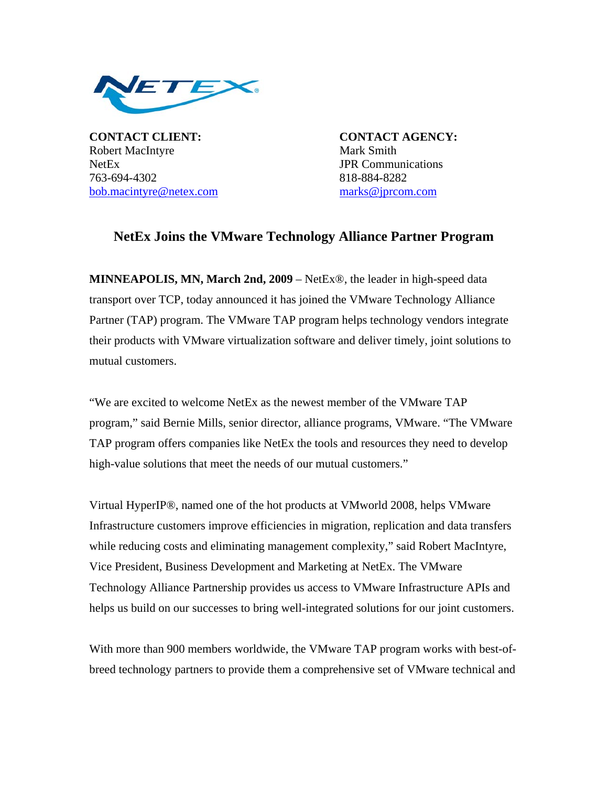

**CONTACT CLIENT: CONTACT AGENCY:** Robert MacIntyre Mark Smith NetEx **JPR** Communications 763-694-4302 818-884-8282 bob.macintyre@netex.com marks@jprcom.com

## **NetEx Joins the VMware Technology Alliance Partner Program**

**MINNEAPOLIS, MN, March 2nd, 2009** – NetEx®, the leader in high-speed data transport over TCP, today announced it has joined the VMware Technology Alliance Partner (TAP) program. The VMware TAP program helps technology vendors integrate their products with VMware virtualization software and deliver timely, joint solutions to mutual customers.

"We are excited to welcome NetEx as the newest member of the VMware TAP program," said Bernie Mills, senior director, alliance programs, VMware. "The VMware TAP program offers companies like NetEx the tools and resources they need to develop high-value solutions that meet the needs of our mutual customers."

Virtual HyperIP®, named one of the hot products at VMworld 2008, helps VMware Infrastructure customers improve efficiencies in migration, replication and data transfers while reducing costs and eliminating management complexity," said Robert MacIntyre, Vice President, Business Development and Marketing at NetEx. The VMware Technology Alliance Partnership provides us access to VMware Infrastructure APIs and helps us build on our successes to bring well-integrated solutions for our joint customers.

With more than 900 members worldwide, the VMware TAP program works with best-ofbreed technology partners to provide them a comprehensive set of VMware technical and